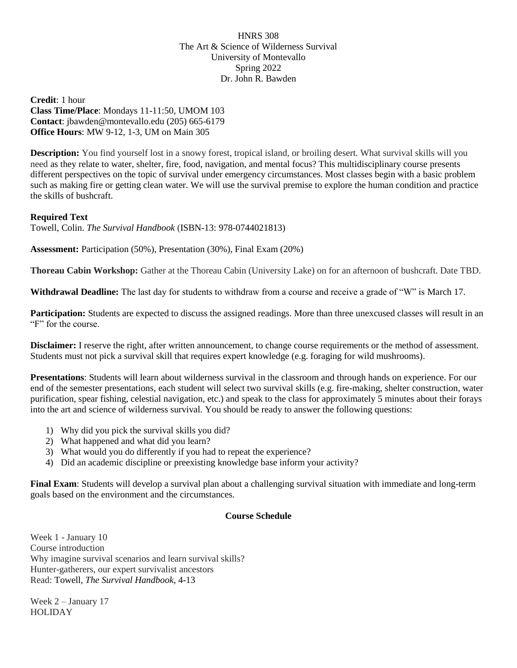HNRS 308 The Art & Science of Wilderness Survival University of Montevallo Spring 2022 Dr. John R. Bawden

**Credit**: 1 hour **Class Time/Place**: Mondays 11-11:50, UMOM 103 **Contact**: jbawden@montevallo.edu (205) 665-6179 **Office Hours**: MW 9-12, 1-3, UM on Main 305

**Description:** You find yourself lost in a snowy forest, tropical island, or broiling desert. What survival skills will you need as they relate to water, shelter, fire, food, navigation, and mental focus? This multidisciplinary course presents different perspectives on the topic of survival under emergency circumstances. Most classes begin with a basic problem such as making fire or getting clean water. We will use the survival premise to explore the human condition and practice the skills of bushcraft.

## **Required Text**

Towell, Colin. *The Survival Handbook* (ISBN-13: 978-0744021813)

**Assessment:** Participation (50%), Presentation (30%), Final Exam (20%)

**Thoreau Cabin Workshop:** Gather at the Thoreau Cabin (University Lake) on for an afternoon of bushcraft. Date TBD.

**Withdrawal Deadline:** The last day for students to withdraw from a course and receive a grade of "W" is March 17.

**Participation:** Students are expected to discuss the assigned readings. More than three unexcused classes will result in an "F" for the course.

**Disclaimer:** I reserve the right, after written announcement, to change course requirements or the method of assessment. Students must not pick a survival skill that requires expert knowledge (e.g. foraging for wild mushrooms).

**Presentations**: Students will learn about wilderness survival in the classroom and through hands on experience. For our end of the semester presentations, each student will select two survival skills (e.g. fire-making, shelter construction, water purification, spear fishing, celestial navigation, etc.) and speak to the class for approximately 5 minutes about their forays into the art and science of wilderness survival. You should be ready to answer the following questions:

- 1) Why did you pick the survival skills you did?
- 2) What happened and what did you learn?
- 3) What would you do differently if you had to repeat the experience?
- 4) Did an academic discipline or preexisting knowledge base inform your activity?

**Final Exam**: Students will develop a survival plan about a challenging survival situation with immediate and long-term goals based on the environment and the circumstances.

## **Course Schedule**

Week 1 - January 10 Course introduction Why imagine survival scenarios and learn survival skills? Hunter-gatherers, our expert survivalist ancestors Read: Towell, *The Survival Handbook*, 4-13

Week 2 – January 17 HOLIDAY